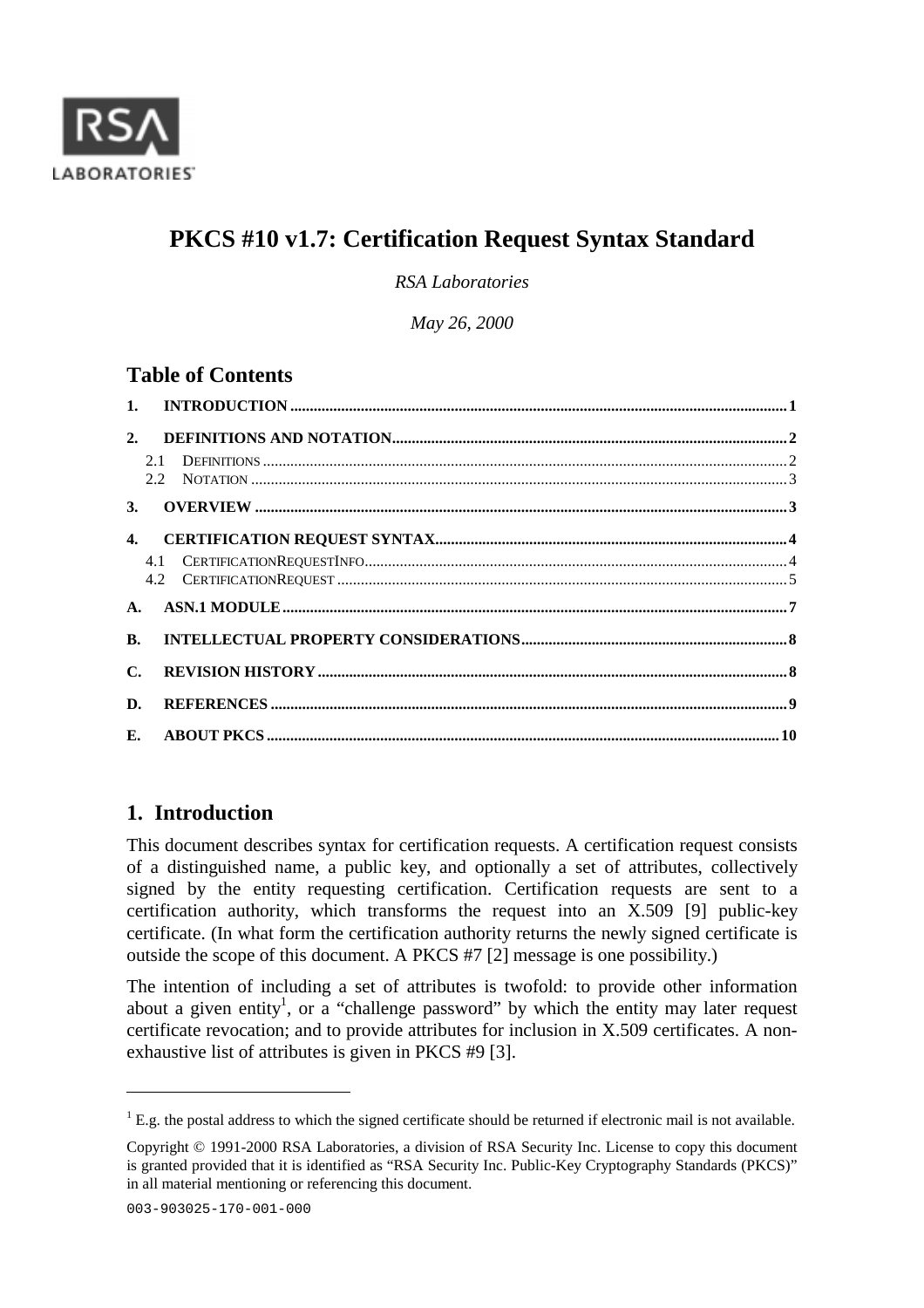

# **PKCS #10 v1.7: Certification Request Syntax Standard**

*RSA Laboratories*

*May 26, 2000*

## **Table of Contents**

| 2.             |  |
|----------------|--|
|                |  |
| 3.             |  |
| $\mathbf{4}$   |  |
|                |  |
|                |  |
| <b>B.</b>      |  |
| $\mathbf{C}$ . |  |
| D.             |  |
|                |  |

## **1. Introduction**

This document describes syntax for certification requests. A certification request consists of a distinguished name, a public key, and optionally a set of attributes, collectively signed by the entity requesting certification. Certification requests are sent to a certification authority, which transforms the request into an X.509 [9] public-key certificate. (In what form the certification authority returns the newly signed certificate is outside the scope of this document. A PKCS #7 [2] message is one possibility.)

The intention of including a set of attributes is twofold: to provide other information about a given entity<sup>1</sup>, or a "challenge password" by which the entity may later request certificate revocation; and to provide attributes for inclusion in X.509 certificates. A nonexhaustive list of attributes is given in PKCS #9 [3].

 $\overline{a}$ 

 ${}^{1}$  E.g. the postal address to which the signed certificate should be returned if electronic mail is not available.

Copyright © 1991-2000 RSA Laboratories, a division of RSA Security Inc. License to copy this document is granted provided that it is identified as "RSA Security Inc. Public-Key Cryptography Standards (PKCS)" in all material mentioning or referencing this document.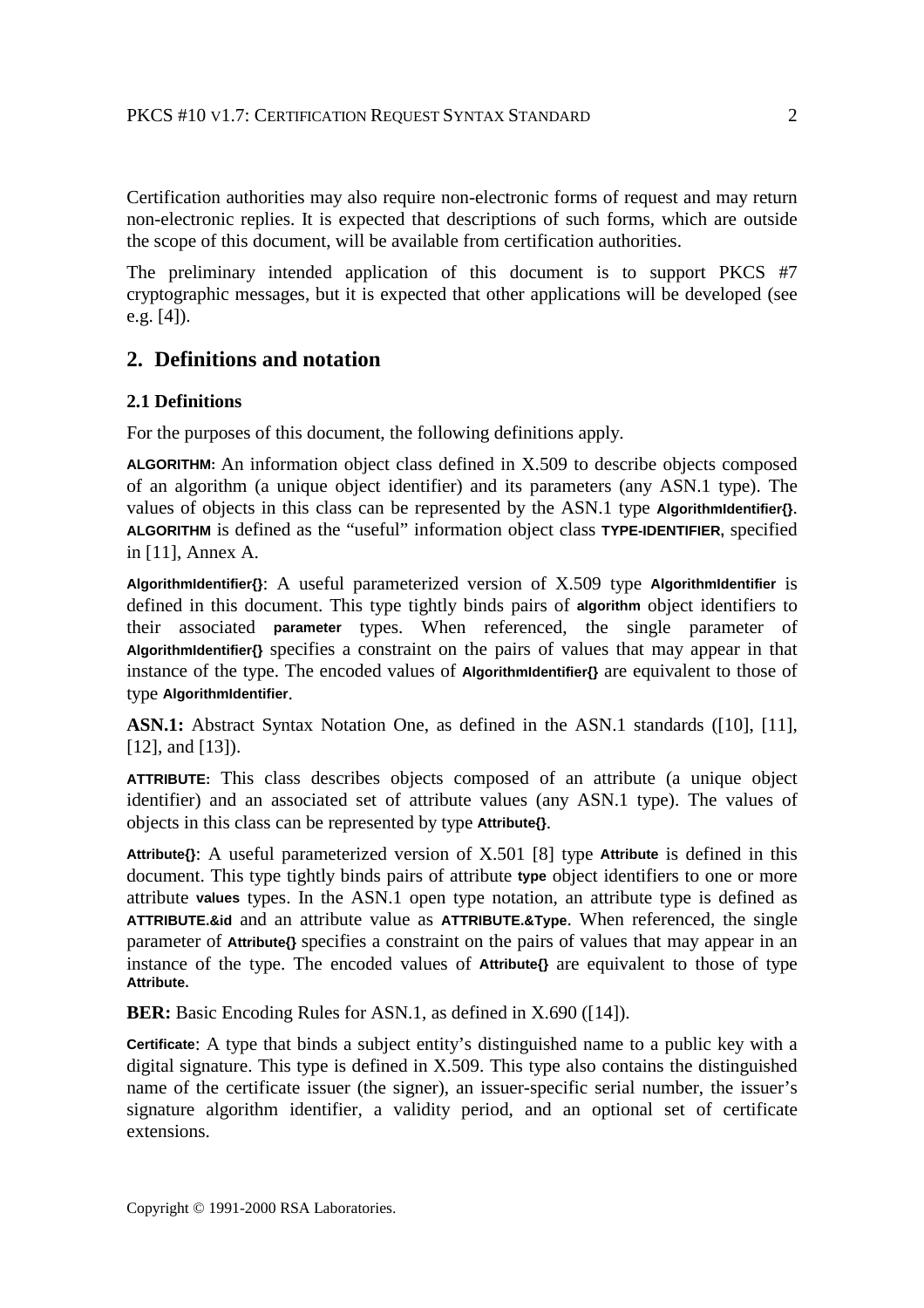Certification authorities may also require non-electronic forms of request and may return non-electronic replies. It is expected that descriptions of such forms, which are outside the scope of this document, will be available from certification authorities.

The preliminary intended application of this document is to support PKCS #7 cryptographic messages, but it is expected that other applications will be developed (see e.g. [4]).

## **2. Definitions and notation**

#### **2.1 Definitions**

For the purposes of this document, the following definitions apply.

**ALGORITHM:** An information object class defined in X.509 to describe objects composed of an algorithm (a unique object identifier) and its parameters (any ASN.1 type). The values of objects in this class can be represented by the ASN.1 type **AlgorithmIdentifier{}**. **ALGORITHM** is defined as the "useful" information object class **TYPE-IDENTIFIER,** specified in [11], Annex A.

**AlgorithmIdentifier{}**: A useful parameterized version of X.509 type **AlgorithmIdentifier** is defined in this document. This type tightly binds pairs of **algorithm** object identifiers to their associated **parameter** types. When referenced, the single parameter of **AlgorithmIdentifier{}** specifies a constraint on the pairs of values that may appear in that instance of the type. The encoded values of **AlgorithmIdentifier{}** are equivalent to those of type **AlgorithmIdentifier**.

**ASN.1:** Abstract Syntax Notation One, as defined in the ASN.1 standards ([10], [11], [12], and [13]).

**ATTRIBUTE:** This class describes objects composed of an attribute (a unique object identifier) and an associated set of attribute values (any ASN.1 type). The values of objects in this class can be represented by type **Attribute{}**.

**Attribute{}**: A useful parameterized version of X.501 [8] type **Attribute** is defined in this document. This type tightly binds pairs of attribute **type** object identifiers to one or more attribute **values** types. In the ASN.1 open type notation, an attribute type is defined as **ATTRIBUTE.&id** and an attribute value as **ATTRIBUTE.&Type**. When referenced, the single parameter of **Attribute{}** specifies a constraint on the pairs of values that may appear in an instance of the type. The encoded values of **Attribute{}** are equivalent to those of type **Attribute.**

**BER:** Basic Encoding Rules for ASN.1, as defined in X.690 ([14]).

**Certificate**: A type that binds a subject entity's distinguished name to a public key with a digital signature. This type is defined in X.509. This type also contains the distinguished name of the certificate issuer (the signer), an issuer-specific serial number, the issuer's signature algorithm identifier, a validity period, and an optional set of certificate extensions.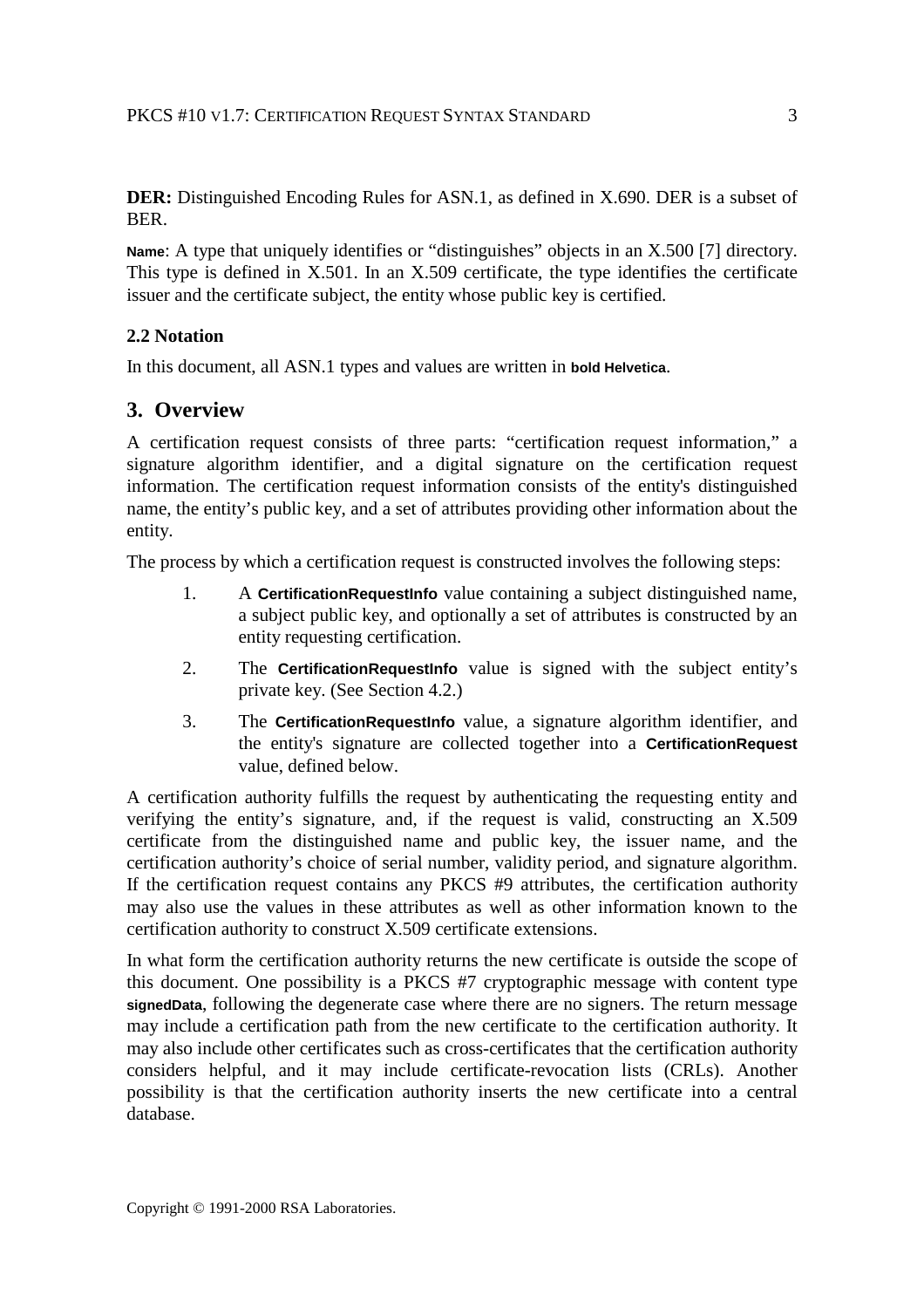**DER:** Distinguished Encoding Rules for ASN.1, as defined in X.690. DER is a subset of BER.

**Name**: A type that uniquely identifies or "distinguishes" objects in an X.500 [7] directory. This type is defined in X.501. In an X.509 certificate, the type identifies the certificate issuer and the certificate subject, the entity whose public key is certified.

### **2.2 Notation**

In this document, all ASN.1 types and values are written in **bold Helvetica**.

### **3. Overview**

A certification request consists of three parts: "certification request information," a signature algorithm identifier, and a digital signature on the certification request information. The certification request information consists of the entity's distinguished name, the entity's public key, and a set of attributes providing other information about the entity.

The process by which a certification request is constructed involves the following steps:

- 1. A **CertificationRequestInfo** value containing a subject distinguished name, a subject public key, and optionally a set of attributes is constructed by an entity requesting certification.
- 2. The **CertificationRequestInfo** value is signed with the subject entity's private key. (See Section 4.2.)
- 3. The **CertificationRequestInfo** value, a signature algorithm identifier, and the entity's signature are collected together into a **CertificationRequest** value, defined below.

A certification authority fulfills the request by authenticating the requesting entity and verifying the entity's signature, and, if the request is valid, constructing an X.509 certificate from the distinguished name and public key, the issuer name, and the certification authority's choice of serial number, validity period, and signature algorithm. If the certification request contains any PKCS #9 attributes, the certification authority may also use the values in these attributes as well as other information known to the certification authority to construct X.509 certificate extensions.

In what form the certification authority returns the new certificate is outside the scope of this document. One possibility is a PKCS #7 cryptographic message with content type **signedData**, following the degenerate case where there are no signers. The return message may include a certification path from the new certificate to the certification authority. It may also include other certificates such as cross-certificates that the certification authority considers helpful, and it may include certificate-revocation lists (CRLs). Another possibility is that the certification authority inserts the new certificate into a central database.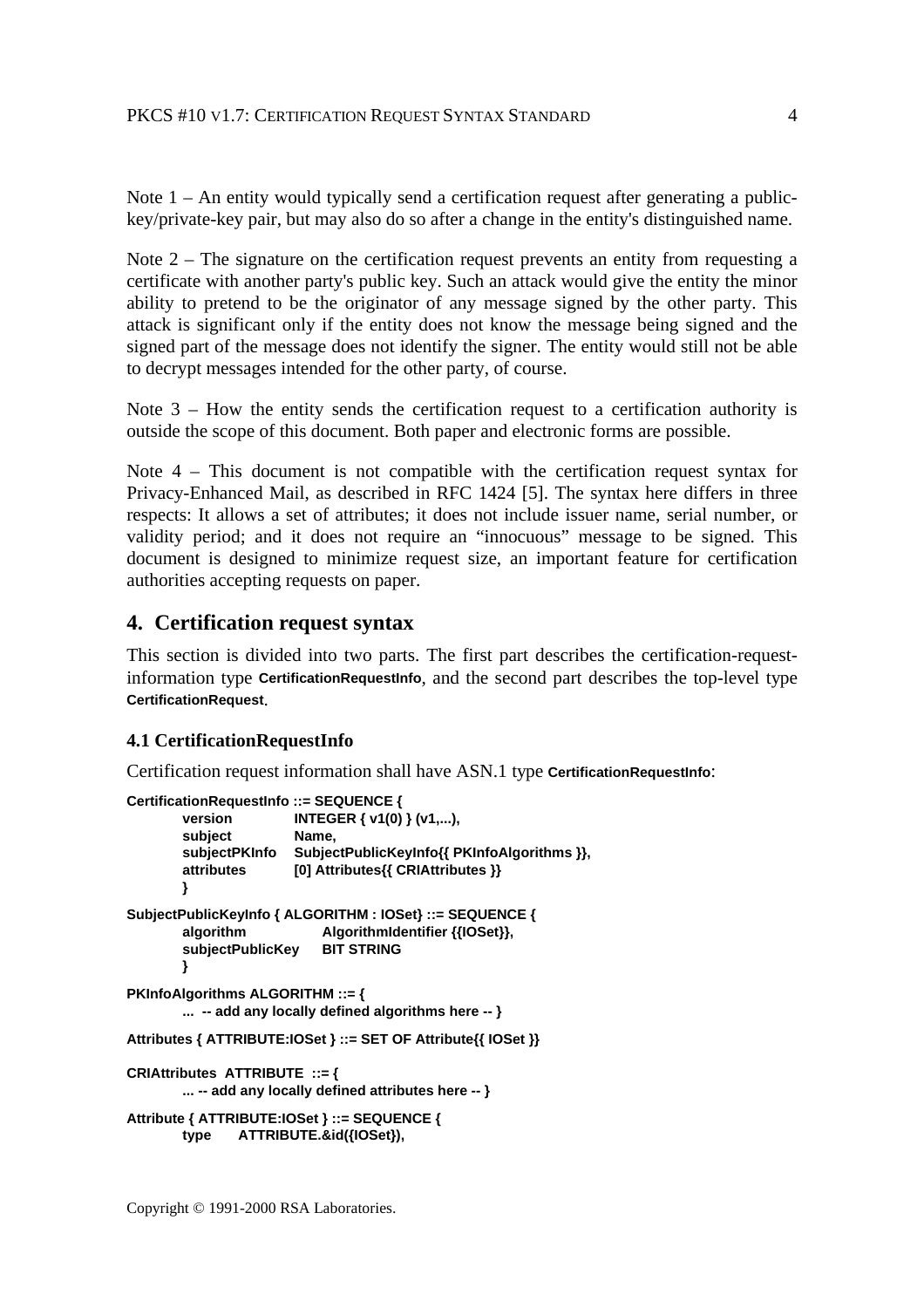Note 1 – An entity would typically send a certification request after generating a publickey/private-key pair, but may also do so after a change in the entity's distinguished name.

Note  $2$  – The signature on the certification request prevents an entity from requesting a certificate with another party's public key. Such an attack would give the entity the minor ability to pretend to be the originator of any message signed by the other party. This attack is significant only if the entity does not know the message being signed and the signed part of the message does not identify the signer. The entity would still not be able to decrypt messages intended for the other party, of course.

Note  $3$  – How the entity sends the certification request to a certification authority is outside the scope of this document. Both paper and electronic forms are possible.

Note 4 – This document is not compatible with the certification request syntax for Privacy-Enhanced Mail, as described in RFC 1424 [5]. The syntax here differs in three respects: It allows a set of attributes; it does not include issuer name, serial number, or validity period; and it does not require an "innocuous" message to be signed. This document is designed to minimize request size, an important feature for certification authorities accepting requests on paper.

#### **4. Certification request syntax**

This section is divided into two parts. The first part describes the certification-requestinformation type **CertificationRequestInfo**, and the second part describes the top-level type **CertificationRequest**.

#### **4.1 CertificationRequestInfo**

Certification request information shall have ASN.1 type **CertificationRequestInfo**:

```
CertificationRequestInfo ::= SEQUENCE {
       version INTEGER { v1(0) } (v1,...),
       subject Name,
       subjectPKInfo SubjectPublicKeyInfo{{ PKInfoAlgorithms }},
       attributes [0] Attributes{{ CRIAttributes }}
        }
SubjectPublicKeyInfo { ALGORITHM : IOSet} ::= SEQUENCE {
       algorithm AlgorithmIdentifier {{IOSet}},
       subjectPublicKey BIT STRING
        }
PKInfoAlgorithms ALGORITHM ::= {
       ... -- add any locally defined algorithms here -- }
Attributes { ATTRIBUTE:IOSet } ::= SET OF Attribute{{ IOSet }}
CRIAttributes ATTRIBUTE ::= {
       ... -- add any locally defined attributes here -- }
Attribute { ATTRIBUTE:IOSet } ::= SEQUENCE {
       type ATTRIBUTE.&id({IOSet}),
```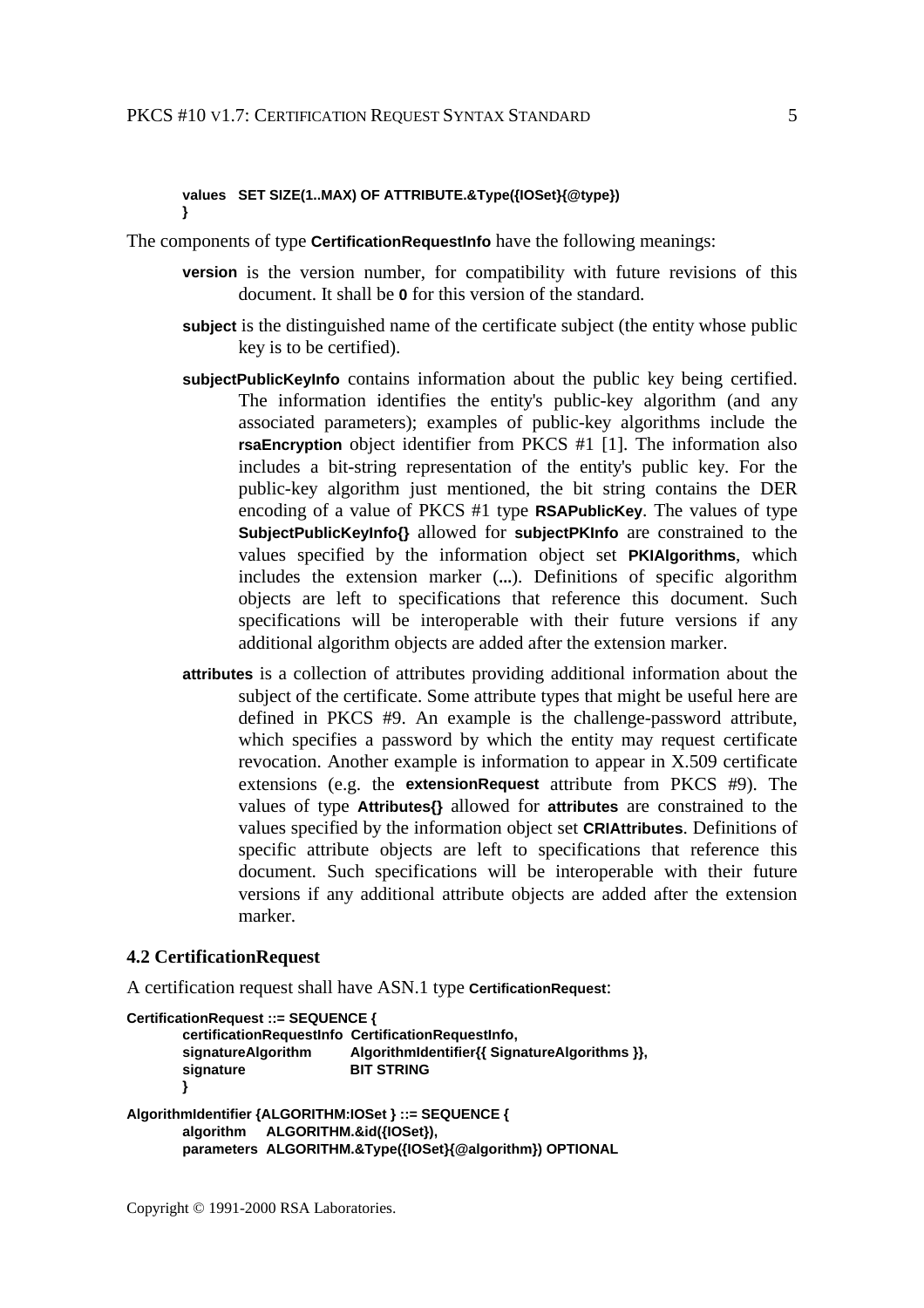#### **values SET SIZE(1..MAX) OF ATTRIBUTE.&Type({IOSet}{@type}) }**

The components of type **CertificationRequestInfo** have the following meanings:

- **version** is the version number, for compatibility with future revisions of this document. It shall be **0** for this version of the standard.
- **subject** is the distinguished name of the certificate subject (the entity whose public key is to be certified).
- **subjectPublicKeyInfo** contains information about the public key being certified. The information identifies the entity's public-key algorithm (and any associated parameters); examples of public-key algorithms include the **rsaEncryption** object identifier from PKCS #1 [1]. The information also includes a bit-string representation of the entity's public key. For the public-key algorithm just mentioned, the bit string contains the DER encoding of a value of PKCS #1 type **RSAPublicKey**. The values of type **SubjectPublicKeyInfo{}** allowed for **subjectPKInfo** are constrained to the values specified by the information object set **PKIAlgorithms**, which includes the extension marker (**...**). Definitions of specific algorithm objects are left to specifications that reference this document. Such specifications will be interoperable with their future versions if any additional algorithm objects are added after the extension marker.
- **attributes** is a collection of attributes providing additional information about the subject of the certificate. Some attribute types that might be useful here are defined in PKCS #9. An example is the challenge-password attribute, which specifies a password by which the entity may request certificate revocation. Another example is information to appear in X.509 certificate extensions (e.g. the **extensionRequest** attribute from PKCS #9). The values of type **Attributes{}** allowed for **attributes** are constrained to the values specified by the information object set **CRIAttributes**. Definitions of specific attribute objects are left to specifications that reference this document. Such specifications will be interoperable with their future versions if any additional attribute objects are added after the extension marker.

#### **4.2 CertificationRequest**

A certification request shall have ASN.1 type **CertificationRequest**:

```
CertificationRequest ::= SEQUENCE {
       certificationRequestInfo CertificationRequestInfo,
       signatureAlgorithm AlgorithmIdentifier{{ SignatureAlgorithms }},
       signature BIT STRING
       }
AlgorithmIdentifier {ALGORITHM:IOSet } ::= SEQUENCE {
       algorithm ALGORITHM.&id({IOSet}),
       parameters ALGORITHM.&Type({IOSet}{@algorithm}) OPTIONAL
```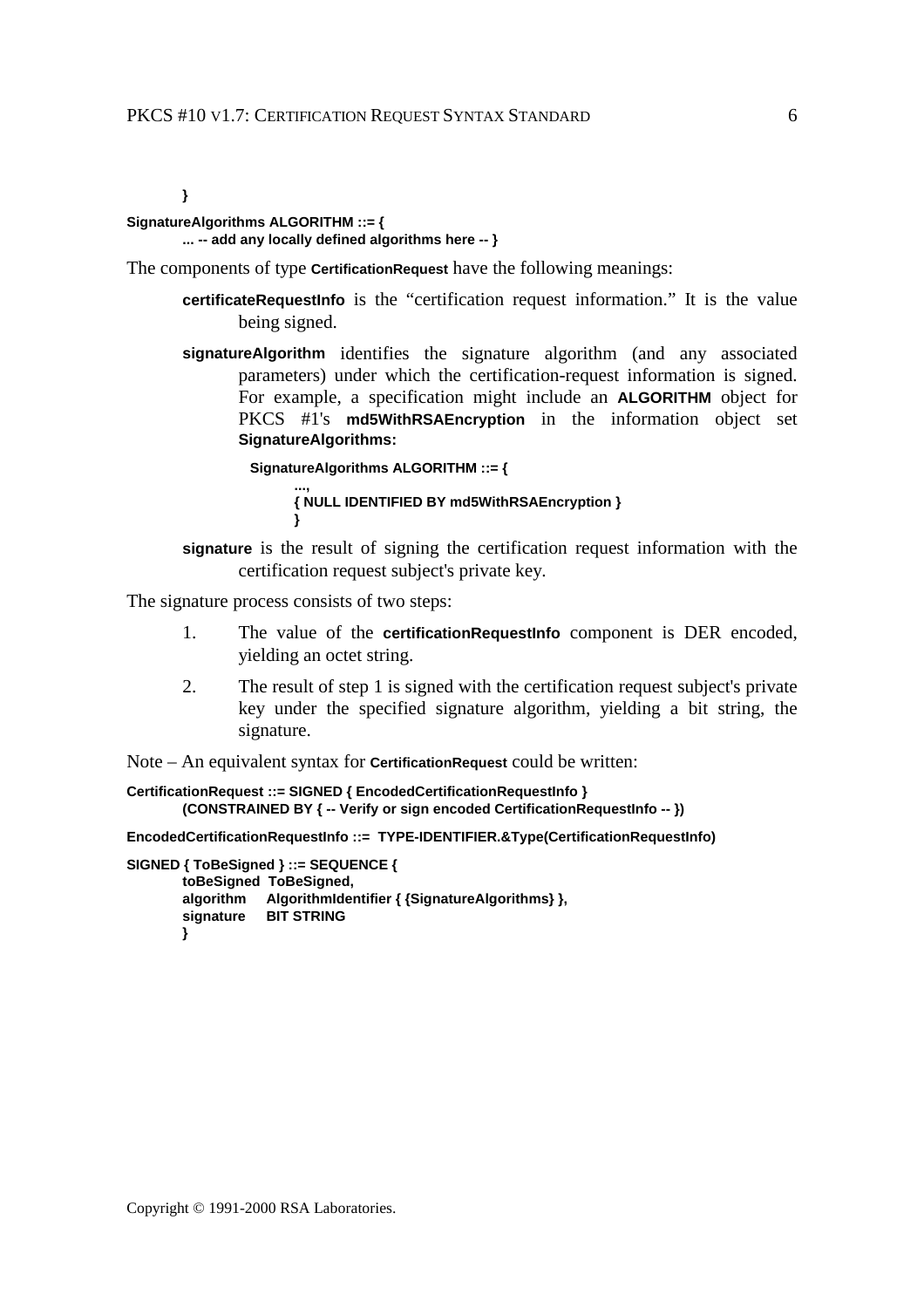**}**

### **SignatureAlgorithms ALGORITHM ::= {**

### **... -- add any locally defined algorithms here -- }**

The components of type **CertificationRequest** have the following meanings:

- **certificateRequestInfo** is the "certification request information." It is the value being signed.
- **signatureAlgorithm** identifies the signature algorithm (and any associated parameters) under which the certification-request information is signed. For example, a specification might include an **ALGORITHM** object for PKCS #1's **md5WithRSAEncryption** in the information object set **SignatureAlgorithms:**

**SignatureAlgorithms ALGORITHM ::= { ..., { NULL IDENTIFIED BY md5WithRSAEncryption } }**

**signature** is the result of signing the certification request information with the certification request subject's private key.

The signature process consists of two steps:

- 1. The value of the **certificationRequestInfo** component is DER encoded, yielding an octet string.
- 2. The result of step 1 is signed with the certification request subject's private key under the specified signature algorithm, yielding a bit string, the signature.

Note – An equivalent syntax for **CertificationRequest** could be written:

```
CertificationRequest ::= SIGNED { EncodedCertificationRequestInfo }
        (CONSTRAINED BY { -- Verify or sign encoded CertificationRequestInfo -- })
```
**EncodedCertificationRequestInfo ::= TYPE-IDENTIFIER.&Type(CertificationRequestInfo)**

```
SIGNED { ToBeSigned } ::= SEQUENCE {
       toBeSigned ToBeSigned,
       algorithm AlgorithmIdentifier { {SignatureAlgorithms} },
       signature BIT STRING
       }
```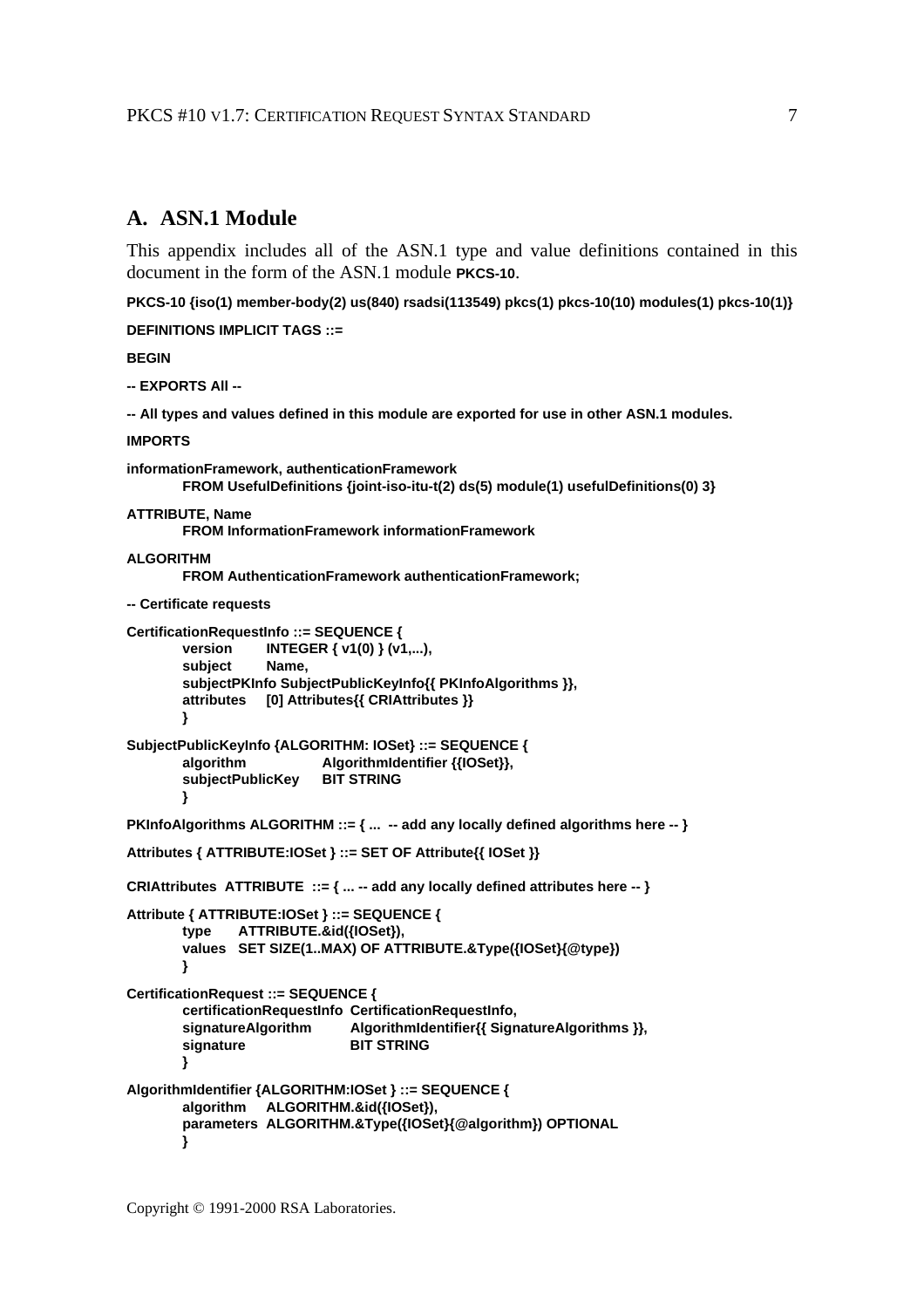## **A. ASN.1 Module**

This appendix includes all of the ASN.1 type and value definitions contained in this document in the form of the ASN.1 module **PKCS-10**.

**PKCS-10 {iso(1) member-body(2) us(840) rsadsi(113549) pkcs(1) pkcs-10(10) modules(1) pkcs-10(1)}**

**DEFINITIONS IMPLICIT TAGS ::=**

**BEGIN**

**-- EXPORTS All --**

**-- All types and values defined in this module are exported for use in other ASN.1 modules.**

#### **IMPORTS**

```
informationFramework, authenticationFramework
       FROM UsefulDefinitions {joint-iso-itu-t(2) ds(5) module(1) usefulDefinitions(0) 3}
ATTRIBUTE, Name
       FROM InformationFramework informationFramework
ALGORITHM
       FROM AuthenticationFramework authenticationFramework;
-- Certificate requests
CertificationRequestInfo ::= SEQUENCE {
       version INTEGER { v1(0) } (v1,...),
       subject Name,
       subjectPKInfo SubjectPublicKeyInfo{{ PKInfoAlgorithms }},
       attributes [0] Attributes{{ CRIAttributes }}
       }
SubjectPublicKeyInfo {ALGORITHM: IOSet} ::= SEQUENCE {
       algorithm AlgorithmIdentifier {{IOSet}},
       subjectPublicKey BIT STRING
       }
PKInfoAlgorithms ALGORITHM ::= { ... -- add any locally defined algorithms here -- }
Attributes { ATTRIBUTE:IOSet } ::= SET OF Attribute{{ IOSet }}
CRIAttributes ATTRIBUTE ::= { ... -- add any locally defined attributes here -- }
Attribute { ATTRIBUTE:IOSet } ::= SEQUENCE {
       type ATTRIBUTE.&id({IOSet}),
       values SET SIZE(1..MAX) OF ATTRIBUTE.&Type({IOSet}{@type})
       }
CertificationRequest ::= SEQUENCE {
       certificationRequestInfo CertificationRequestInfo,
       signatureAlgorithm AlgorithmIdentifier{{ SignatureAlgorithms }},<br>signature BIT STRING
                               BIT STRING
       }
AlgorithmIdentifier {ALGORITHM:IOSet } ::= SEQUENCE {
       algorithm ALGORITHM.&id({IOSet}),
       parameters ALGORITHM.&Type({IOSet}{@algorithm}) OPTIONAL
       }
```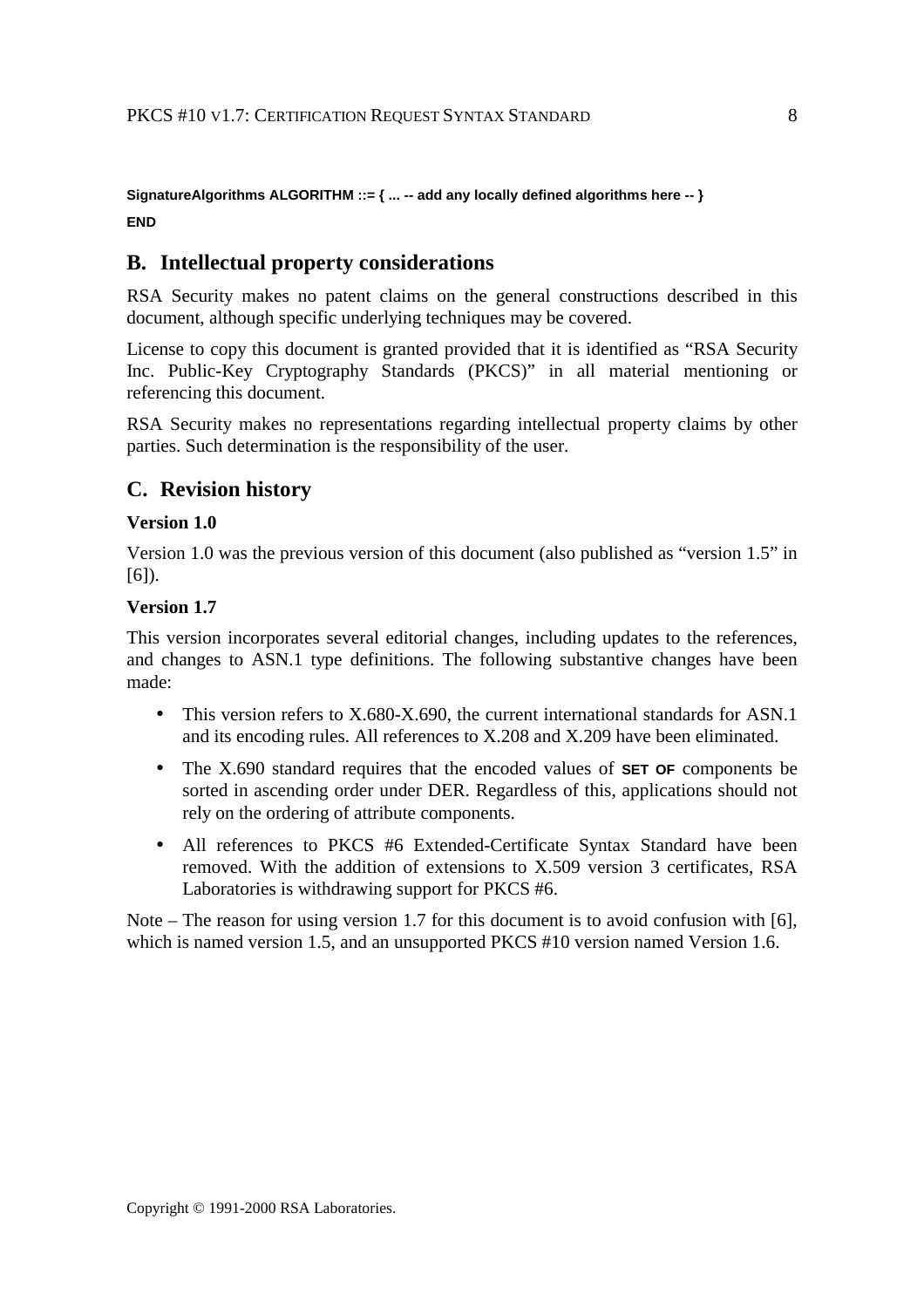### **SignatureAlgorithms ALGORITHM ::= { ... -- add any locally defined algorithms here -- } END**

## **B. Intellectual property considerations**

RSA Security makes no patent claims on the general constructions described in this document, although specific underlying techniques may be covered.

License to copy this document is granted provided that it is identified as "RSA Security Inc. Public-Key Cryptography Standards (PKCS)" in all material mentioning or referencing this document.

RSA Security makes no representations regarding intellectual property claims by other parties. Such determination is the responsibility of the user.

## **C. Revision history**

#### **Version 1.0**

Version 1.0 was the previous version of this document (also published as "version 1.5" in  $[6]$ ).

#### **Version 1.7**

This version incorporates several editorial changes, including updates to the references, and changes to ASN.1 type definitions. The following substantive changes have been made:

- This version refers to X.680-X.690, the current international standards for ASN.1 and its encoding rules. All references to X.208 and X.209 have been eliminated.
- The X.690 standard requires that the encoded values of **SET OF** components be sorted in ascending order under DER. Regardless of this, applications should not rely on the ordering of attribute components.
- All references to PKCS #6 Extended-Certificate Syntax Standard have been removed. With the addition of extensions to X.509 version 3 certificates, RSA Laboratories is withdrawing support for PKCS #6.

Note – The reason for using version 1.7 for this document is to avoid confusion with [6], which is named version 1.5, and an unsupported PKCS #10 version named Version 1.6.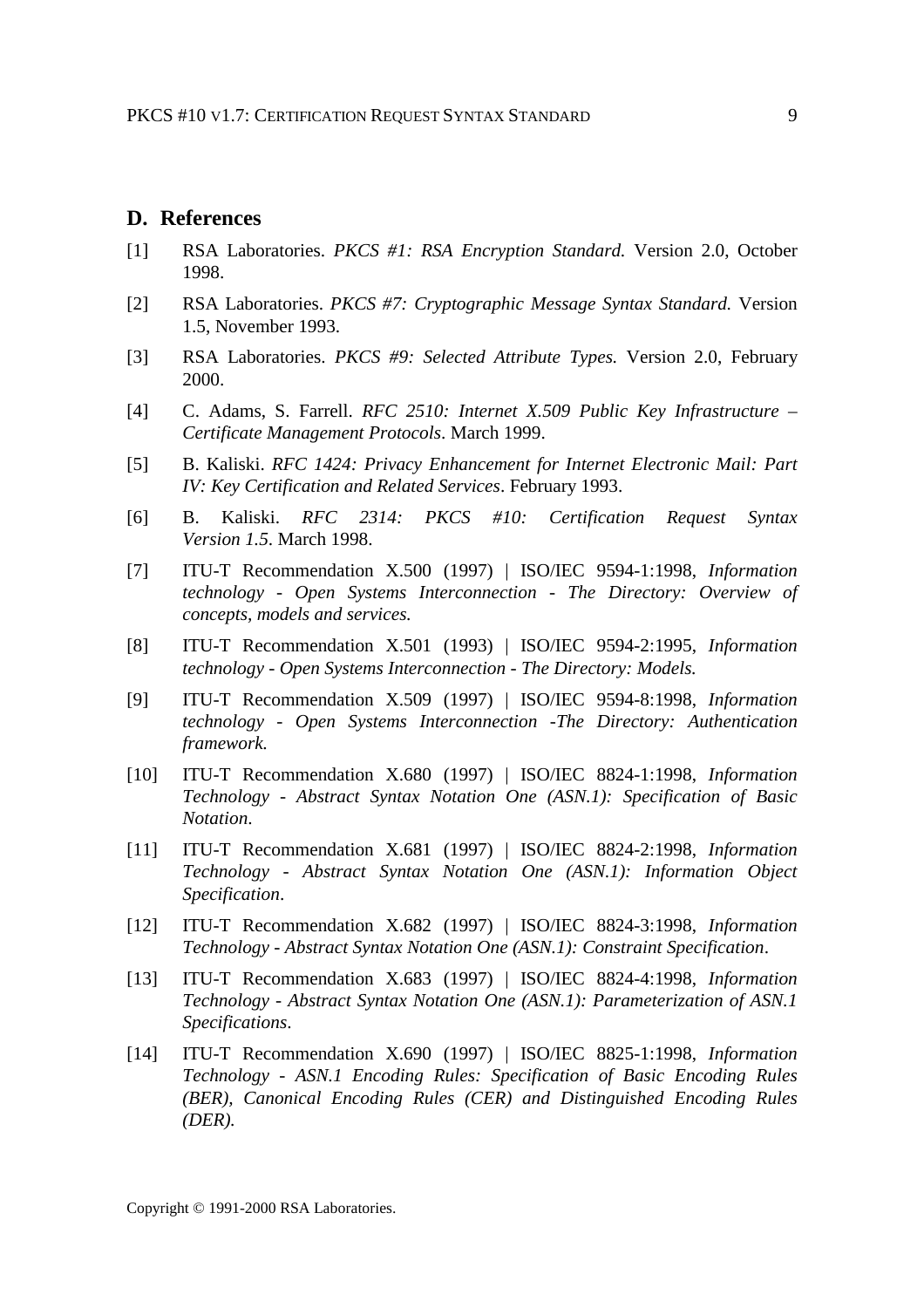#### **D. References**

- [1] RSA Laboratories. *PKCS #1: RSA Encryption Standard.* Version 2.0, October 1998.
- [2] RSA Laboratories. *PKCS #7: Cryptographic Message Syntax Standard.* Version 1.5, November 1993.
- [3] RSA Laboratories. *PKCS #9: Selected Attribute Types.* Version 2.0, February 2000.
- [4] C. Adams, S. Farrell. *RFC 2510: Internet X.509 Public Key Infrastructure – Certificate Management Protocols*. March 1999.
- [5] B. Kaliski. *RFC 1424: Privacy Enhancement for Internet Electronic Mail: Part IV: Key Certification and Related Services*. February 1993.
- [6] B. Kaliski. *RFC 2314: PKCS #10: Certification Request Syntax Version 1.5*. March 1998.
- [7] ITU-T Recommendation X.500 (1997) | ISO/IEC 9594-1:1998, *Information technology - Open Systems Interconnection - The Directory: Overview of concepts, models and services.*
- [8] ITU-T Recommendation X.501 (1993) | ISO/IEC 9594-2:1995, *Information technology - Open Systems Interconnection - The Directory: Models.*
- [9] ITU-T Recommendation X.509 (1997) | ISO/IEC 9594-8:1998, *Information technology - Open Systems Interconnection -The Directory: Authentication framework.*
- [10] ITU-T Recommendation X.680 (1997) | ISO/IEC 8824-1:1998, *Information Technology - Abstract Syntax Notation One (ASN.1): Specification of Basic Notation*.
- [11] ITU-T Recommendation X.681 (1997) | ISO/IEC 8824-2:1998, *Information Technology - Abstract Syntax Notation One (ASN.1): Information Object Specification*.
- [12] ITU-T Recommendation X.682 (1997) | ISO/IEC 8824-3:1998, *Information Technology - Abstract Syntax Notation One (ASN.1): Constraint Specification*.
- [13] ITU-T Recommendation X.683 (1997) | ISO/IEC 8824-4:1998, *Information Technology - Abstract Syntax Notation One (ASN.1): Parameterization of ASN.1 Specifications*.
- [14] ITU-T Recommendation X.690 (1997) | ISO/IEC 8825-1:1998, *Information Technology - ASN.1 Encoding Rules: Specification of Basic Encoding Rules (BER), Canonical Encoding Rules (CER) and Distinguished Encoding Rules (DER).*